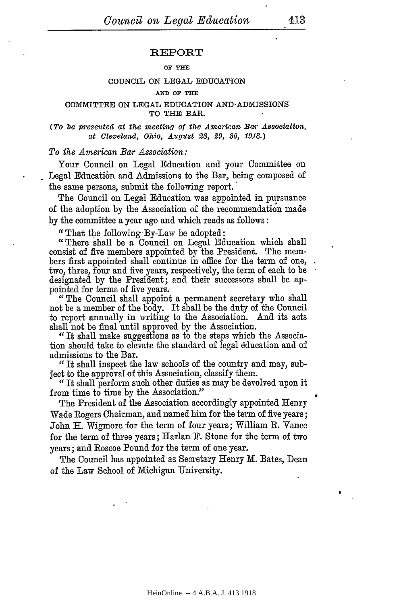#### REPORT

#### OF **TEE**

#### **COUNCIL ON LEGAL** EDUCATION

#### **AND OF THE**

#### **COMMITTEE ON LEGAL** EDUCATION AND-ADMISSIONS **TO THE BAR.**

#### *(To be presented at the meeting of the American Bar Association, at Cleveland, Ohio, August 28, 29, 80, 1918.)*

### *To the American Bar Association:*

Your Council on Legal Education and your Committee on Legal Education and Admissions to the Bar, being composed of the same persons, submit the following report.

The Council on Legal Education was appointed in pursuance of the adoption by the Association of the recommendation made by the committee a year ago and which reads as follows:

"That the following By-Law be adopted:

"There shall be a Council on Legal Education which shall consist of five members appointed by the President. The members first appointed shall continue in office for the term of one, two, three, four and five years, respectively, the term of each to be designated by the President; and their successors shall be appointed for terms of five years.

"The Council shall appoint a permanent secretary who shall not be a member of the body. It shall be the duty of the Council to report annually in writing to the Association. And its acts shall not be final until approved by the Association.

*"* It shall make suggestions as to the steps which the Association should take to elevate the standard of legal dducation and of admissions to the Bar.

"It shall inspect the law schools of the country and may, subject to the approval of this Association, classify them.

*"It* shall perform such other duties as may be devolved upon it from time to time by the Association."

The President of the Association accordingly appointed Henry Wade Rogers Chairman, and named him for the term of five years; John H. Wigmore for the term of four years; William R. Vance for the term of three years; Harlan F. Stone for the term of two years; and Roscoe Pound for the term of one year.

The Council has appointed as Secretary Henry M. Bates, Dean of the Law School of Michigan University.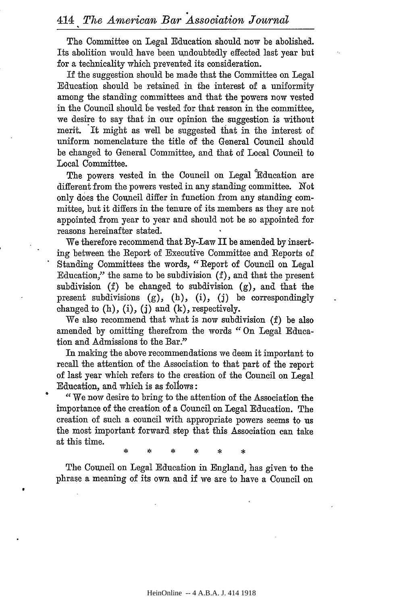The Committee on Legal Education should now be abolished. Its abolition would have been undoubtedly effected last year but for a technicality which prevented its consideration.

If the suggestion should be made that the Committee on Legal Education should be retained in the interest of a uniformity among the standing committees and that the powers now vested in the Council should be vested for that reason in the committee, we desire to say that in our opinion the suggestion is without merit. It might as well be suggested that in the interest of uniform nomenclature the title of the General Council should be changed to General Committee, and that of Local Council to Local Committee.

The powers vested in the Council on Legal Education are different from the powers vested in any standing committee. Not only does the Council differ in function from any standing committee, but it differs in the tenure of its members as they are not appointed from year to year and should not be so appointed for reasons hereinafter stated.

We therefore recommend that By-Law II be amended by inserting between the Report of Executive Committee and Reports of Standing Committees the words, " Report of Council on Legal Education," the same to be subdivision (f), and that the present subdivision (f) be changed to subdivision (g), and that the present subdivisions (g), (h), (i), (j) be correspondingly changed to  $(h)$ ,  $(i)$ ,  $(j)$  and  $(k)$ , respectively.

We also recommend that what is now subdivision (f) be also amended by omitting therefrom the words " On Legal Education and Admissions to the Bar."

In making the above recommendations we deem it important to recall the attention of the Association to that part of the report of last year which refers to the creation of the Council on Legal Education, and which is as foliows:

"We now desire to bring to the attention of the Association the importance of the creation of a Council on Legal Education. The creation of such a council with appropriate powers seems to us the most important forward step that this Association can take at this time.

The Council on Legal Education in England, has given to the phrase a meaning of its own and if we are to have a Council on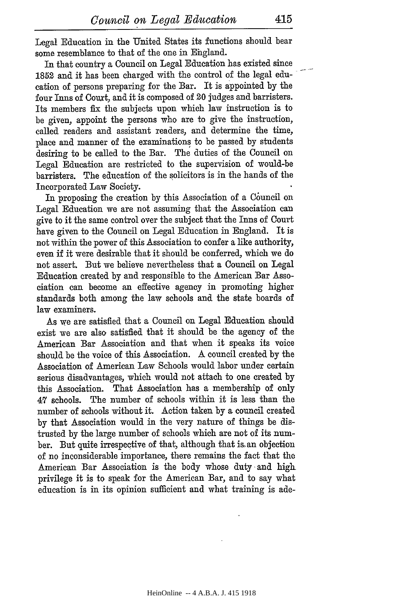Legal Education in the United States its functions should bear some resemblance to that of the one in Ehgland.

In that country a Council on Legal Education has existed since 1852 and it has been charged with the control of the legal education of persons preparing for the Bar. It is appointed by the four Inns of Couxt, and it is composed of 20 judges and barristers. Its members fix the subjects upon which law instruction is to be given, appoint the persons who are to give the instruction, called readers and assistant readers, and determine the time, place and manner of the examinations to be passed by students desiring to be called to the Bar. The duties of the Council on Legal Education are restricted to the supervision of would-be barristers. The education of the solicitors is in the hands of the Incorporated Law Society.

In proposing the creation by this Association of a Council on Legal Education we are not assuming that the Association can give to it the same control over the subject that the Inns of Court have given to the Council on Legal Education in England. It is not within the power of this Association to confer a like authority, even if it were desirable that it should be conferred, which we do not assert. But we believe nevertheless that a Council on Legal Education created by and responsible to the American Bar Association can become an effective agency in promoting higher standards both among the law schools and the state boards of law examiners.

As we are satisfied that a Council on Legal Education should exist we are also satisfied that it should be the agency of the American Bar Association and that when it speaks its voice should be the voice of this Association. A council created by the Association of American Law Schools would labor under certain serious disadvantages, which would not attach to one created by this Association. That Association has a membership of only 47 schools. The number of schools within it is less than the number of schools without it. Action taken by a council created by that Association would in the very nature of things be distrusted by the large number of schools which are not of its number. But quite irrespective of that, although that is, an objection of no inconsiderable importance, there remains the fact that the American Bar Association is the body whose duty and high privilege it is to speak for the American Bar, and to say what education is in its opinion sufficient and what training is ade-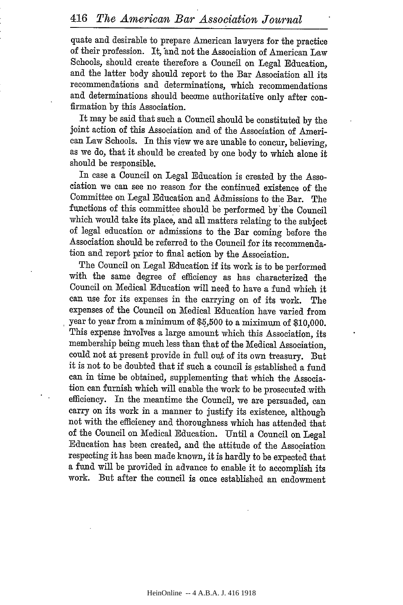quate and desirable to prepare American lawyers for the practice of their profession. It, and not the Association of American Law Schools, should create therefore a Council on Legal Education, and the latter body should report to the Bar Association all its recommendations and determinations, which recommendations and determinations should become authoritative only after confirmation by this Association.

It may be said that such a Council should be constituted by the joint action of this Association and of the Association of American Law Schools. In this view we are unable to concur, believing, as we do, that it should be created by one body to which alone it should be responsible.

In case a Council on Legal Education is created by the Association we can see no reason for the continued existence of the Committee on Legal Education and Admissions to the Bar. The functions of this committee should be performed by the Council which would take its place, and all matters relating to the subject of legal education or admissions to the Bar coming before the Association should be referred to the Council for its recommendation and report prior to final action by the Association.

The Council on Legal Education if its work is to be performed with the same degree of efficiency as has characterized the Council on Medical Education will need to have a fund which it can use for its expenses in the carrying on of its work. The expenses of the Council on Medical Education have varied from year to year from a minimum of \$5,500 to a miximun of \$10,000. This expense involves a large amount which this Association, its membership being much less than that of the Medical Association, could not at present provide in full out of its own treasury. But it is not to be doubted that if such a council is established a fund can in time be obtained, supplementing that which the Association can furnish which will enable the work to be prosecuted with efficiency. In the meantime the Council, we are persuaded, can carry on its work in a manner to justify its existence, although not with the efficiency and thoroughness which has attended that of the Council on Medical Education. Until a Council on Legal Education has been created, and the attitude of the Association respecting it has been made known, it is hardly to be expected that a fund will be provided in advance to enable it to accomplish its work. But after the council is once established an endowment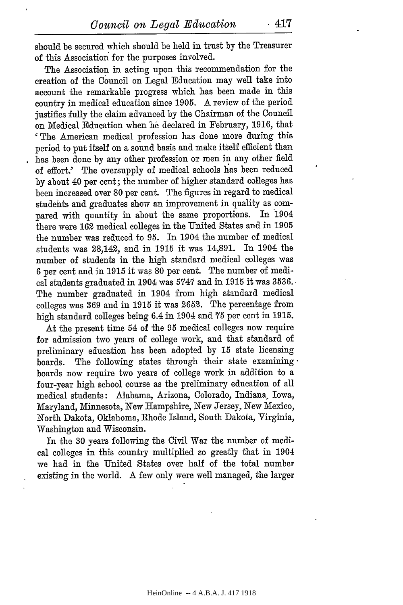should be secured which should be held in trust by the Treasurer of this Association for the purposes involved.

The Association in acting upon this recommendation for the creation of the Council on Legal Education may well take into account the remarkable progress which has been made in this country in medical education since 1905. A review of the period justifies fully the claim advanced by the Chairman of the Council on Medical Education when he declared in February, **1916,** that 'The American medical profession has done more during this period to put itself on a sound basis and make itself efficient than has been done by any other profession or men in any other field of effort.' The oversupply of medical schools has been reduced by about 40 per cent; the number of higher standard colleges has been increased over 80 per cent. The figures in regard to medical studehts and graduates show an improvement in quality as compared with quantity in about the same proportions. In 1904 there were **162** medical colleges in the United States and in 1905 the number was reduced to 95. In 1904 the number of medical students was 28,142, and in **1915** it was 14,891. In 1904 the number of students in the high standard medical colleges was 6 per cent and in 1915 it was 80 per cent. The number of medical students graduated in 1904 was **5747** and in 1915 it was 3536.. The number graduated in 1904 from high standard medical colleges was 369 and in 1915 it was 2652. The percentage from high standard colleges being 6.4 in 1904 and **75** per cent in 1915.

At the present time 54 of the 95 medical colleges now require for admission two years of college work, and that standard of preliminary education has been adopted by **15** state licensing boards. The following states through their state examiningboards now require two years of college work in addition to a four-year high school course as the preliminary education of all medical students: Alabama, Arizona, Colorado, Indiana, Iowa, Maryland, Minnesota, New Hampshire, New Jersey, New Mexico, North Dakota, Oklahoma, Rhode Island, South Dakota, Virginia, Washington and Wisconsin.

In the 30 years following the Civil War the number of medical colleges in this country multiplied so greatly that in 1904 we had in the United States over half of the total number existing in the world. A few only were well managed, the larger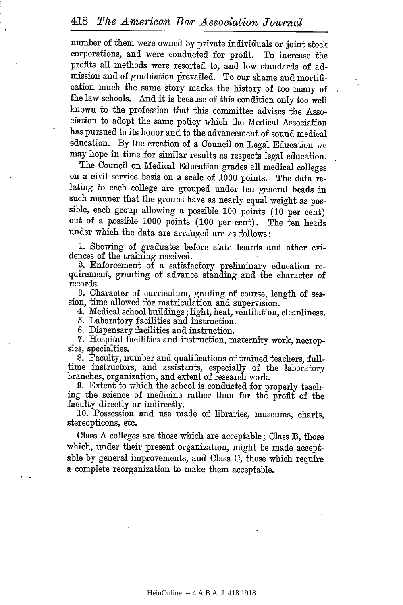number of them were owned by private individuals or joint stock corporations, and were conducted for profit. To increase the profits all methods were resorted to, and low standards of admission and of graduation prevailed. To our shame and mortification much the same story marks the history of too many of the law schools. And it is because of this condition only too well known to the profession that this committee advises the Association to adopt the same policy which the Medical Association has pursued to its honor and to the advancement of sound medical education. By the creation of a Council on Legal Education we may hope in time for similar results as respects legal education.

The Council on Medical Education grades all medical colleges on a civil service basis on a scale of 1000 points. The data relating to each college are grouped under ten general heads in such manner that the groups have as nearly equal weight as possible, each group allowing a possible 100 points (10 per cent) out of a possible 1000 points (100 per cent). The ten heads under which the data are arranged are as follows:

1. Showing of graduates before state boards and other evidences of the training received.

2. Enforcement of a satisfactory preliminary education requirement, granting of advance standing and the character of records.

**3.** Character of curriculum, grading of course, length of ses-

4. Medical school buildings; light, heat, ventilation, cleanliness.

5. Laboratory facilities and instruction.

6. Dispensary facilities and instruction.

**7.** Hospital facilities and instruction, maternity work, necrop- sies, specialties.

8. Faculty, number and qualifications of trained teachers, fulltime instructors, and assistants, especially of the laboratory branches, organization, and extent of research work.

9. Extent to which the school is conducted for properly teaching the science of medicine rather than for the profit of the

10. Possession and use made of libraries, museums, charts, stereopticons, etc.

Class A colleges are those which are acceptable; Class B, those which, under their present organization, might be made acceptable by general improvements, and Class C, those which require a complete reorganization to make them acceptable.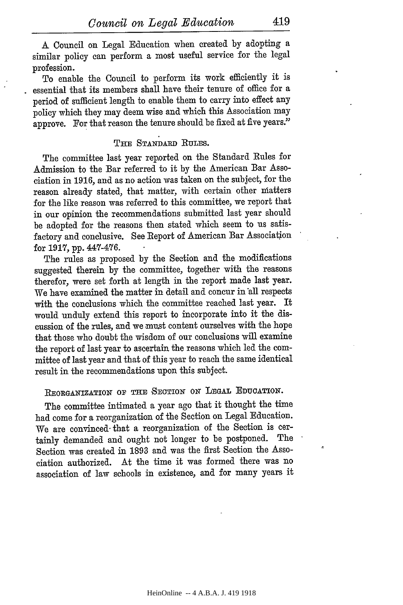**A** Council on Legal Education when created by adopting a similar policy can perform a most useful service for the legal profession.

To enable the Council to perform its work efficiently it is essential that its members shall have their tenure of office for a period of sufficient length to enable them to carry into effect any policy which they may deem wise and which this Association may approve. For that reason the tenure should be fixed at five years."

## **THE STANDARD IRULES.**

The committee last year reported on the Standard Rules for Admission to the Bar referred to it by the American Bar Association in 1916, and as no action was taken on the subject, for the reason already stated, that matter, with certain other natters for the like reason was referred to this committee, we report that in our opinion the recommendations submitted last year should be adopted for the reasons then stated which seem to us satisfactory and conclusive. See Report of American Bar Association for **1917,** pp. 447-476.

The rules as proposed by the Section and the modifications suggested therein by the committee, together with the reasons therefor, were set forth at length in the report made last year. We have examined the matter in detail and concur in all respects with the conclusions which the committee reached last year. It would unduly extend this report to incorporate into it the discussion of the rules, and we must content ourselves with the hope that those who doubt the wisdom of our conclusions will examine the report of last year to ascertain the reasons which led the committee of last year and that of this year to reach the same identical result in the recommendations upon this subject.

**REORGANIZATION** OF **THE SECTION ON LEGAL EDUCATION.**

The committee intimated a year ago that it thought the time had come for a reorganization of the Section on Legal Education. We are convinced- that a reorganization of the Section is certainly demanded and ought not longer to be postponed. The Section was created in 1893 and was the first Section the Association authorized. At the time it was formed there was no association of law schools in existence, and for many years it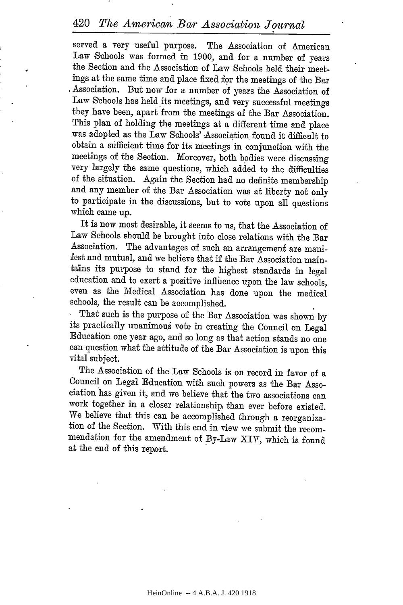# <sup>420</sup>*The American Bar Association Journal*

served a very useful purpose. The Association of American Law Schools was formed in 1900, and for a number of years the Section and the Association of Law Schools held their meetings at the same time and place fixed for the meetings of the Bar . Association. But now for a number of years the Association of Law Schools has held its meetings, and very successful meetings they have been, apart from the meetings of the Bar Association. This plan of holding the meetings at a different time and place was adopted as the Law Schools' Association' found it difficult to obtain a sifficient time for its meetings in conjunction with the meetings of the Section. Moreover, both bodies were discussing very largely the same questions, which added to the difficulties of the situation. Again the Section had no definite membership and any member of the Bar Association was at liberty not only to participate in the discussions, but to vote upon all questions which came up.

It is now most desirable, it seems to us, that the Association of Law Schools should be brought into close relations with the Bar Association. The advantages of such an arrangemeni are manifest and mutual, and we believe that if the Bar Association maintains its purpose to stand for the highest standards in legal education and to exert a positive influence upon the law schools, even as the Medical Association has done upon the medical schools, the result can be accomplished.

That such is the purpose of the Bar Association was shown by its practically unanimous vote in creating the Council on Legal Education one year ago, and so long as that action stands no one can question what the attitude of the Bar Association is upon this vital subject.

The Association of the Law Schools is on record in favor of a Council on Legal Education with such powers as the Bar Association has given it, and we believe that the two associations can work together in a closer relationship than ever before existed. We believe that this can be accomplished through a reorganization of the Section. With this end in view we submit the recommendation for the amendment of By-Law XIV, which is found at the end of this report.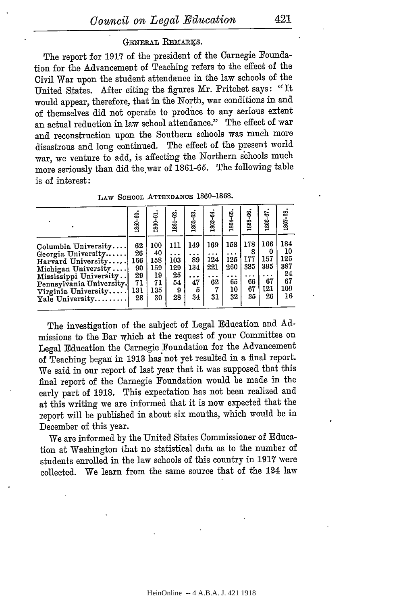## GENERAL REMARKS.

The report for 1917 of the president of the Carnegie Foundation for the Advancement of Teaching refers to the effect of the Civil War upon the student attendance in the law schools of the United States. After citing the figures Mr. Pritchet says: "It would appear, therefore, that in the North, war conditions in and of themselves did not operate to produce to any serious extent an actual reduction in law school attendance." The effect of war and reconstruction upon the Southern schools was much more disastrous and long continued. The effect of the present world war, we venture to add, is affecting the Northern schools much more seriously than did the war of 1861-65. The following table is of interest:

|                                                                                                                                                                                        | ຣ<br>1859.                                     | 1860-61                                          | 1861-62                                  | 1862-63                                  | 1863-64                            | 1864-65                             | 1865-66.                                              | 1800-07                                   | 1807-08.                                         |
|----------------------------------------------------------------------------------------------------------------------------------------------------------------------------------------|------------------------------------------------|--------------------------------------------------|------------------------------------------|------------------------------------------|------------------------------------|-------------------------------------|-------------------------------------------------------|-------------------------------------------|--------------------------------------------------|
| Columbia University<br>Georgia University<br>Harvard University<br>Michigan University<br>Mississippi University<br>Pennsylvania University.<br>Virginia University<br>Yale University | 62<br>26<br>166<br>90<br>29<br>71<br>131<br>28 | 100<br>40<br>158<br>159<br>19<br>71<br>135<br>30 | 111<br>103<br>129<br>25<br>54<br>9<br>28 | 149<br>. .<br>89<br>134<br>47<br>5<br>34 | 169<br>124<br>221<br>62<br>7<br>31 | 158<br>125<br>260<br>65<br>10<br>32 | 178<br>8<br>177<br>385<br>$\cdot$ .<br>66<br>67<br>35 | 166<br>0<br>157<br>395<br>67<br>121<br>26 | 184<br>10<br>125<br>387<br>24<br>67<br>109<br>16 |

**LAW SCHOOL ATTENDANCE** 1860-1868.

The investigation of the subject of Legal Education and Admissions to the Bar which at the request of your Committee on Legal Education the Carnegie Foundation for the Advancement of Teaching began in **1913** has not yet resulted in a final report. We said in our report of last year that it was supposed that this final report of the Carnegie Foundation would be made in the early part of **1918.** This expectation has not been realized and at this writing we are informed that it is now expected that the report will be published in about six months, which would be in December of this year.

We are informed **by** the United States Commissioner of Education at Washington that no statistical data as to the number of students enrolled in the law schools of this country in **1917** were collected. We learn from the same source that of the 124 law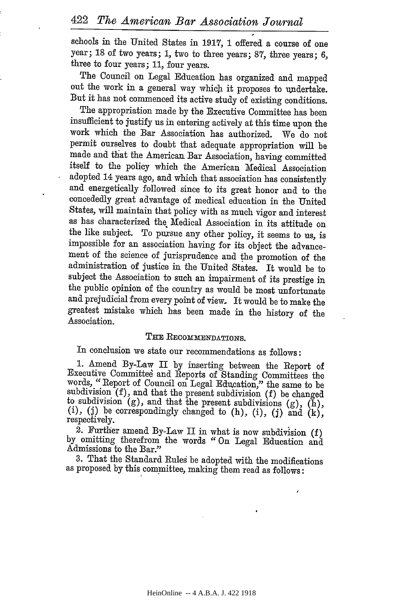schools in the United States in 1917, 1 offered a course of one year; 18 of two years; 1, two to three years; 87, three years; 6, three to four years; 11, four years.

The Council on Legal Education has organized and mapped out the work in a general way which it proposes to undertake. But it has not commenced its active study of existing conditions.

The appropriation made by the Executive Committee has been insufficient to justify us in entering actively at this time upon the work which the Bar Association has authorized. We do not permit ourselves to doubt that adequate appropriation will be made and that the American Bar Association, having committed itself to the policy which the American Medical Association and energetically followed since to its great honor and to the concededly great advantage of medical education in the United States, will maintain that policy with as much vigor and interest as has characterized the Medical Association in its attitude on the like subject. To puxsue any other policy, it seems to us, is impossible for an association having for its object the advancement of the science of jurisprudence and the promotion of the administration of justice in the United States. It would be to subject the Association to such an impairment of its prestige in the public opinion of the country as would be most unfortunate and prejudicial from every point of view- It would be to make the greatest mistake which has been made in the history of the Association.

# THE RECOMMENDATIONS.

In conclusion we state our recommendations as follows:

1. Amend By-Law II by inserting between the Report of Executive Committee and Reports of Standing Committees the words, "Report of Council on Legal Education," the same to be subdivision (f), and that the present subdivis

2. Further amend By-Law II in what is now subdivision (f) by omitting therefrom the words " On Legal Education and Admissions to the Bar."

3. That the Standard Rules be adopted with the modifications as proposed by this committee, making them read as follows: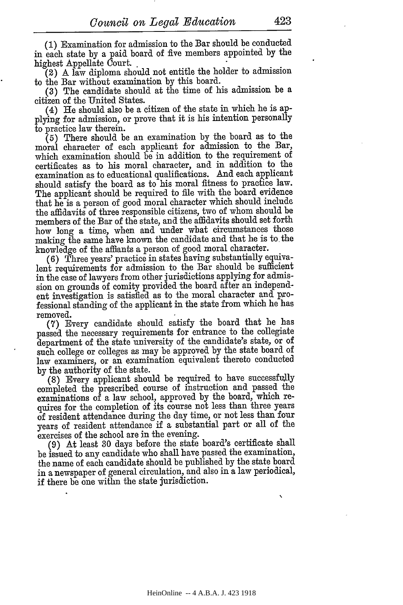(1) Examination for admission to the Bar should be conducted in each state by a paid board of five members appointed by the highest Appellate Court.

(2) A law diploma should not entitle the holder to admission to the Bar without examination by this board.

(3) The candidate should at the time of his admission be a citizen of the United States.

(4) He should also be a citizen of the state in which he is applying for admission, or prove that it is his intention personally to practice law therein.

(5) There should be an examination by the board as to the moral character of each applicant for admission to the Bar, which examination should be in addition to the requirement of certificates as to his moral character, and in addition to the examination as to educational qualifications. And each applicant should satisfy the board as to his moral fitness to practice law. The applicant should be required to file with the board evidence that he is a person of good moral character which should include the affidavits of three responsible citizens, two of whom should be members of the Bar of the state, and the affidavits should set forth how long a time, when and under what circumstances those making the same have known the candidate and that he is to the knowledge of the affiants a person of good moral character.

(6) Three years' practice in states having substantially equivalent requirements for admission to the Bar should be sufficient in the case of lawyers from other jurisdictions applying for admission on grounds of comity provided the board after an independent investigation is satisfied as to the moral character and professional standing of the applicant in the state from which he has removed.

**(7)** Every candidate should satisfy the board that he has passed the necessary requirements for entrance to the collegiate department of the state university of the candidate's state, or of such college or colleges as may be approved by the state board of law examiners, or an examination equivalent thereto conducted by the authority of the state.

(8) Every applicant should be required to have successfully completed the prescribed course of instruction and passed the examinations of a law school, approved by the board, which requires for the completion of its course not less than three years of resident attendance during the day time, or not less than four years of resident attendance if a substantial part or all of the exercises of the school are in the evening.

(9) At least 30 days before the state board's certificate shall be issued to any candidate who shall have passed the examination, the name of each candidate should be published by the state board in a newspaper of general circulation, and also in a law periodical, if there be one withn the state jurisdiction.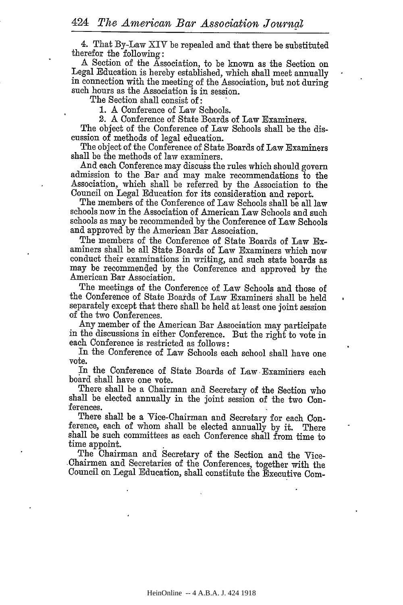4. That By-Law XIV be repealed and that there be substituted

A Section of the Association, to be known as the Section on Legal Education is hereby established, which shall meet annually in connection with the meeting of the Association, but not during such hours as the Association is in session.

The Section shall consist of:

1. A Conference of Law Schools.

2. A Conference of State Boards of Law Examiners.

The object of the Conference of Law Schools shall be the discussion of methods of legal education.

The object of the Conference of State Boards of Law Examiners shall be the methods of law examiners.

And each Conference may discuss the rules which should govern admission to the Bar and may make recommendations to the Association, which shall be referred by the Association to the Council on Legal Education for its consideration and report. The members of the Conference of Law Schools shall be all law

schools now in the Association of American Law Schools and such schools as may be recommended by the Conference of Law Schools and approved by the American Bar Association.

The members of the Conference of State Boards of Law Examiners shall be all State Boards of Law Examiners which now conduct their examinations in writing, and such state boards as may be recommended by the Conference and approved by the American Bar Association.

The meetings of the Conference of Law Schools and those of the Conference of State Boards of Law Examiners' shall be held separately except that there shall be held at least one joint session of the two Conferences.

Any member of the American Bar Association may participate in the discussions in either Conference. But the right to vote in each Conference is restricted as follows:

In the Conference of Law Schools each school shall have one vote.

In the Conference of State Boards of Law Examiners each board shall have one vote.

There shall be a Chairman and Secretary of the Section who shall be elected annually in the joint session of the two Conferences.

There shall be a Vice-Chairman and Secretary for each Conference, each of whom shall be elected annually by it. There shall be such committees as each Conference shall from time to time appoint.

The Chairman and Secretary of the Section and the Vice-Chairmen and Secretaries of the Conferences, together with the Council on Legal Education, shall constitute the Executive Com